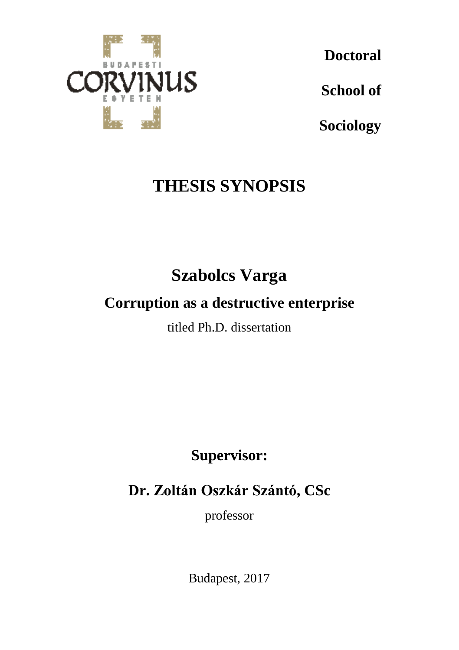

**Doctoral**

**School of**

**Sociology**

# **THESIS SYNOPSIS**

# **Szabolcs Varga**

## **Corruption as a destructive enterprise**

titled Ph.D. dissertation

**Supervisor:**

**Dr. Zoltán Oszkár Szántó, CSc**

professor

Budapest, 2017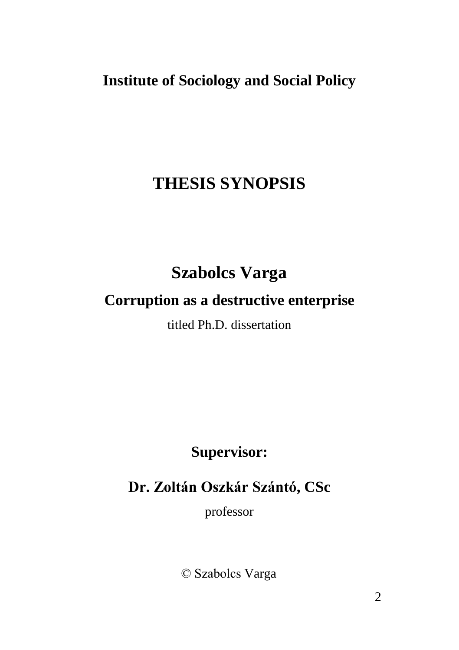## **Institute of Sociology and Social Policy**

## **THESIS SYNOPSIS**

# **Szabolcs Varga**

## **Corruption as a destructive enterprise**

titled Ph.D. dissertation

**Supervisor:**

**Dr. Zoltán Oszkár Szántó, CSc**

professor

© Szabolcs Varga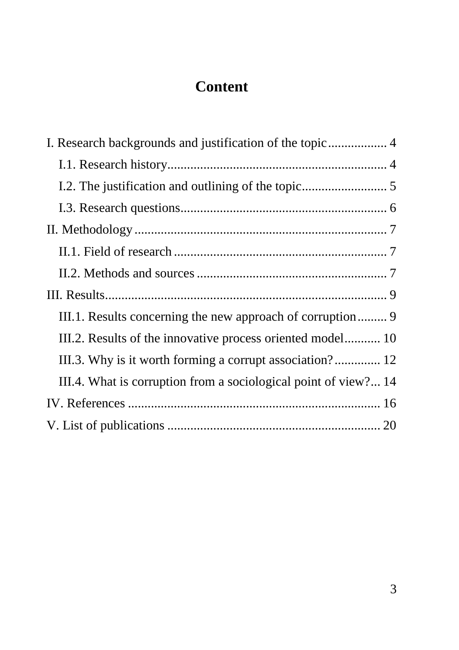## **Content**

| III.2. Results of the innovative process oriented model 10      |
|-----------------------------------------------------------------|
| III.3. Why is it worth forming a corrupt association? 12        |
| III.4. What is corruption from a sociological point of view? 14 |
|                                                                 |
|                                                                 |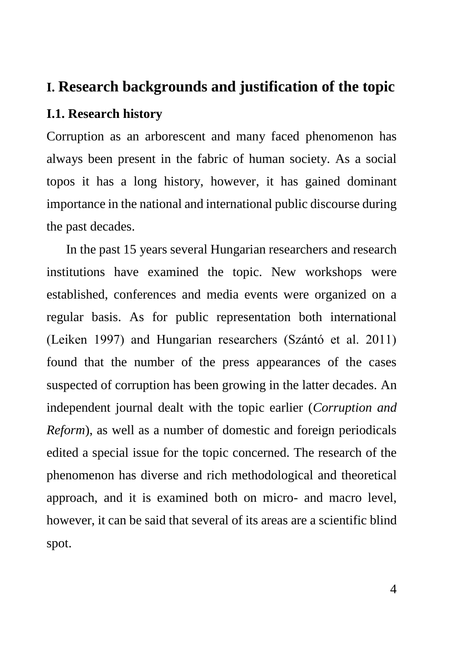### <span id="page-3-0"></span>**I. Research backgrounds and justification of the topic**

### <span id="page-3-1"></span>**I.1. Research history**

Corruption as an arborescent and many faced phenomenon has always been present in the fabric of human society. As a social topos it has a long history, however, it has gained dominant importance in the national and international public discourse during the past decades.

In the past 15 years several Hungarian researchers and research institutions have examined the topic. New workshops were established, conferences and media events were organized on a regular basis. As for public representation both international (Leiken 1997) and Hungarian researchers (Szántó et al. 2011) found that the number of the press appearances of the cases suspected of corruption has been growing in the latter decades. An independent journal dealt with the topic earlier (*Corruption and Reform*), as well as a number of domestic and foreign periodicals edited a special issue for the topic concerned. The research of the phenomenon has diverse and rich methodological and theoretical approach, and it is examined both on micro- and macro level, however, it can be said that several of its areas are a scientific blind spot.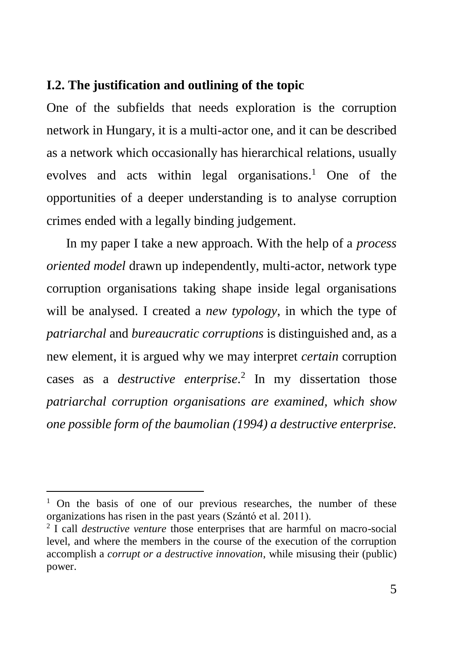### <span id="page-4-0"></span>**I.2. The justification and outlining of the topic**

One of the subfields that needs exploration is the corruption network in Hungary, it is a multi-actor one, and it can be described as a network which occasionally has hierarchical relations, usually evolves and acts within legal organisations. <sup>1</sup> One of the opportunities of a deeper understanding is to analyse corruption crimes ended with a legally binding judgement.

In my paper I take a new approach. With the help of a *process oriented model* drawn up independently, multi-actor, network type corruption organisations taking shape inside legal organisations will be analysed. I created a *new typology*, in which the type of *patriarchal* and *bureaucratic corruptions* is distinguished and, as a new element, it is argued why we may interpret *certain* corruption cases as a *destructive enterprise*. 2 In my dissertation those *patriarchal corruption organisations are examined, which show one possible form of the baumolian (1994) a destructive enterprise.*

<sup>&</sup>lt;sup>1</sup> On the basis of one of our previous researches, the number of these organizations has risen in the past years (Szántó et al. 2011).

<sup>2</sup> I call *destructive venture* those enterprises that are harmful on macro-social level, and where the members in the course of the execution of the corruption accomplish a *corrupt or a destructive innovation*, while misusing their (public) power.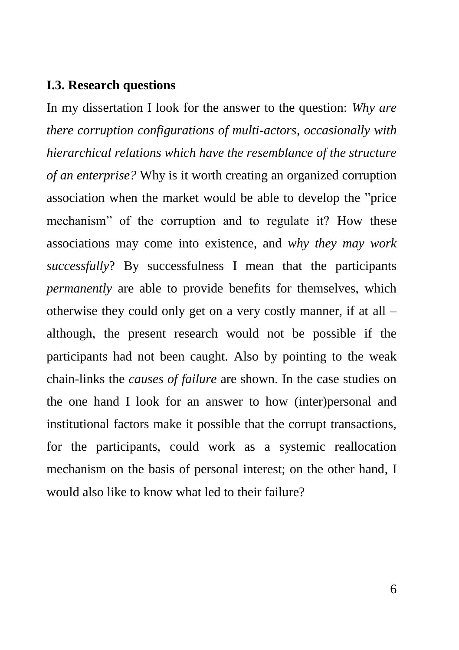#### <span id="page-5-0"></span>**I.3. Research questions**

In my dissertation I look for the answer to the question: *Why are there corruption configurations of multi-actors, occasionally with hierarchical relations which have the resemblance of the structure of an enterprise?* Why is it worth creating an organized corruption association when the market would be able to develop the "price mechanism" of the corruption and to regulate it? How these associations may come into existence, and *why they may work successfully*? By successfulness I mean that the participants *permanently* are able to provide benefits for themselves, which otherwise they could only get on a very costly manner, if at all – although, the present research would not be possible if the participants had not been caught. Also by pointing to the weak chain-links the *causes of failure* are shown. In the case studies on the one hand I look for an answer to how (inter)personal and institutional factors make it possible that the corrupt transactions, for the participants, could work as a systemic reallocation mechanism on the basis of personal interest; on the other hand, I would also like to know what led to their failure?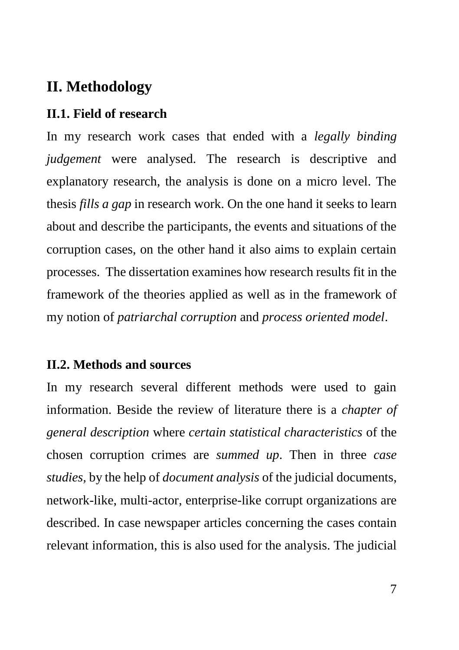### <span id="page-6-0"></span>**II. Methodology**

### <span id="page-6-1"></span>**II.1. Field of research**

In my research work cases that ended with a *legally binding judgement* were analysed. The research is descriptive and explanatory research, the analysis is done on a micro level. The thesis *fills a gap* in research work. On the one hand it seeks to learn about and describe the participants, the events and situations of the corruption cases, on the other hand it also aims to explain certain processes. The dissertation examines how research results fit in the framework of the theories applied as well as in the framework of my notion of *patriarchal corruption* and *process oriented model*.

#### <span id="page-6-2"></span>**II.2. Methods and sources**

In my research several different methods were used to gain information. Beside the review of literature there is a *chapter of general description* where *certain statistical characteristics* of the chosen corruption crimes are *summed up*. Then in three *case studies,* by the help of *document analysis* of the judicial documents, network-like, multi-actor, enterprise-like corrupt organizations are described. In case newspaper articles concerning the cases contain relevant information, this is also used for the analysis. The judicial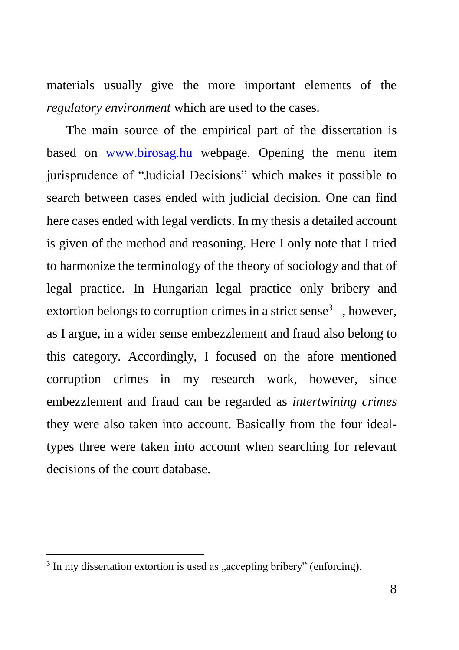materials usually give the more important elements of the *regulatory environment* which are used to the cases.

The main source of the empirical part of the dissertation is based on [www.birosag.hu](http://www.birosag.hu/) webpage. Opening the menu item jurisprudence of "Judicial Decisions" which makes it possible to search between cases ended with judicial decision. One can find here cases ended with legal verdicts. In my thesis a detailed account is given of the method and reasoning. Here I only note that I tried to harmonize the terminology of the theory of sociology and that of legal practice. In Hungarian legal practice only bribery and extortion belongs to corruption crimes in a strict sense<sup>3</sup> $-$ , however, as I argue, in a wider sense embezzlement and fraud also belong to this category. Accordingly, I focused on the afore mentioned corruption crimes in my research work, however, since embezzlement and fraud can be regarded as *intertwining crimes* they were also taken into account. Basically from the four idealtypes three were taken into account when searching for relevant decisions of the court database.

 $3$  In my dissertation extortion is used as "accepting bribery" (enforcing).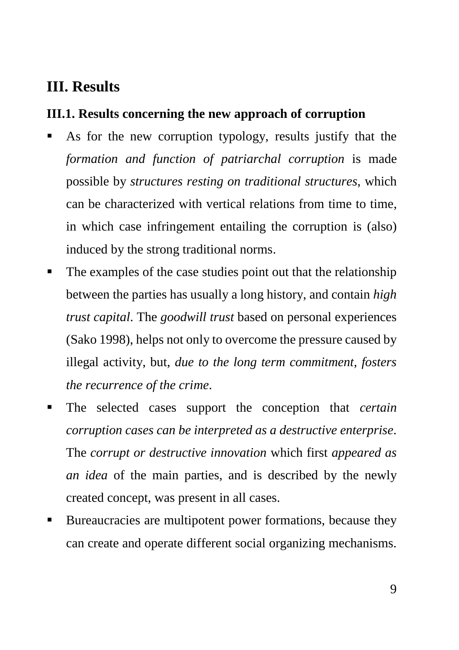### <span id="page-8-0"></span>**III. Results**

### <span id="page-8-1"></span>**III.1. Results concerning the new approach of corruption**

- As for the new corruption typology, results justify that the *formation and function of patriarchal corruption* is made possible by *structures resting on traditional structures*, which can be characterized with vertical relations from time to time, in which case infringement entailing the corruption is (also) induced by the strong traditional norms.
- The examples of the case studies point out that the relationship between the parties has usually a long history, and contain *high trust capital*. The *goodwill trust* based on personal experiences (Sako 1998), helps not only to overcome the pressure caused by illegal activity, but, *due to the long term commitment, fosters the recurrence of the crime*.
- The selected cases support the conception that *certain corruption cases can be interpreted as a destructive enterprise*. The *corrupt or destructive innovation* which first *appeared as an idea* of the main parties, and is described by the newly created concept, was present in all cases.
- Bureaucracies are multipotent power formations, because they can create and operate different social organizing mechanisms.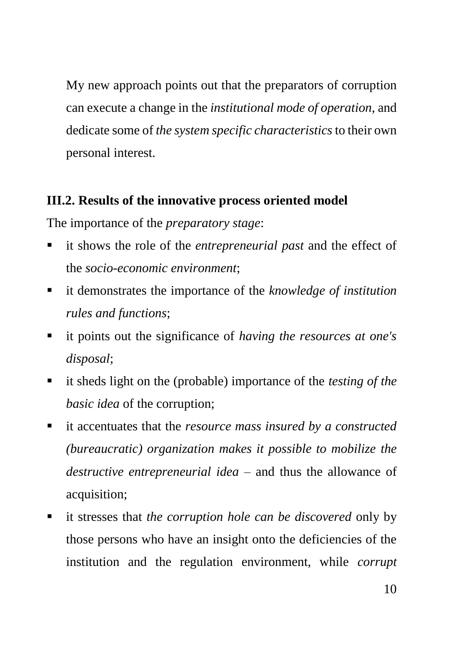My new approach points out that the preparators of corruption can execute a change in the *institutional mode of operation*, and dedicate some of *the system specific characteristics* to their own personal interest.

### <span id="page-9-0"></span>**III.2. Results of the innovative process oriented model**

The importance of the *preparatory stage*:

- it shows the role of the *entrepreneurial past* and the effect of the *socio-economic environment*;
- it demonstrates the importance of the *knowledge of institution rules and functions*;
- it points out the significance of *having the resources at one's disposal*;
- it sheds light on the (probable) importance of the *testing of the basic idea* of the corruption;
- it accentuates that the *resource mass insured by a constructed (bureaucratic) organization makes it possible to mobilize the destructive entrepreneurial idea* – and thus the allowance of acquisition;
- it stresses that *the corruption hole can be discovered* only by those persons who have an insight onto the deficiencies of the institution and the regulation environment, while *corrupt*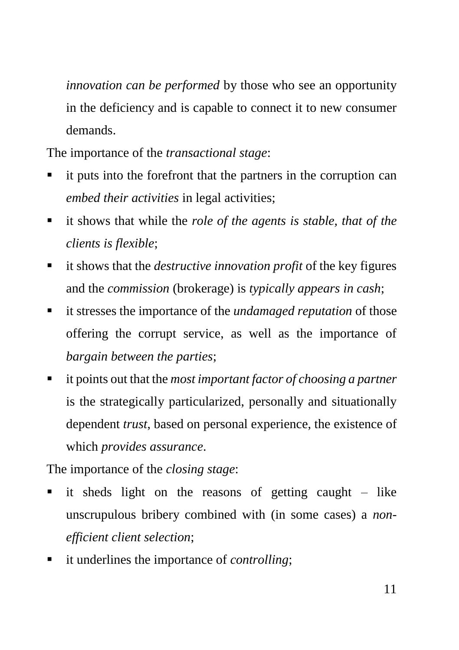*innovation can be performed* by those who see an opportunity in the deficiency and is capable to connect it to new consumer demands.

The importance of the *transactional stage*:

- it puts into the forefront that the partners in the corruption can *embed their activities* in legal activities;
- it shows that while the *role of the agents is stable, that of the clients is flexible*;
- it shows that the *destructive innovation profit* of the key figures and the *commission* (brokerage) is *typically appears in cash*;
- it stresses the importance of the *undamaged reputation* of those offering the corrupt service, as well as the importance of *bargain between the parties*;
- it points out that the *most important factor of choosing a partner* is the strategically particularized, personally and situationally dependent *trust*, based on personal experience, the existence of which *provides assurance*.

The importance of the *closing stage*:

- it sheds light on the reasons of getting caught like unscrupulous bribery combined with (in some cases) a *nonefficient client selection*;
- it underlines the importance of *controlling*;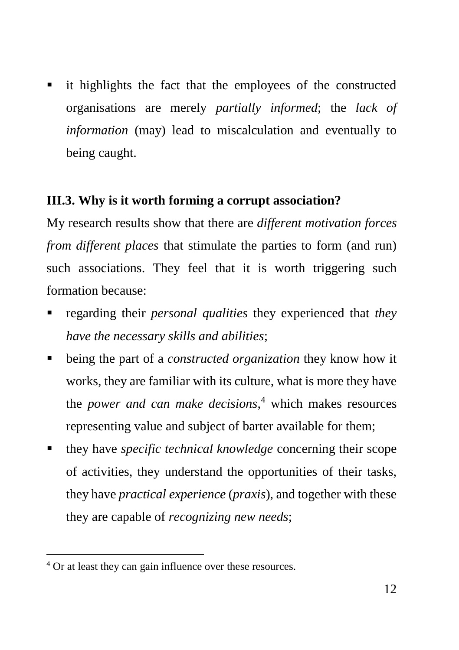it highlights the fact that the employees of the constructed organisations are merely *partially informed*; the *lack of information* (may) lead to miscalculation and eventually to being caught.

### <span id="page-11-0"></span>**III.3. Why is it worth forming a corrupt association?**

My research results show that there are *different motivation forces from different places* that stimulate the parties to form (and run) such associations. They feel that it is worth triggering such formation because:

- regarding their *personal qualities* they experienced that *they have the necessary skills and abilities*;
- being the part of a *constructed organization* they know how it works, they are familiar with its culture, what is more they have the *power and can make decisions*, <sup>4</sup> which makes resources representing value and subject of barter available for them;
- they have *specific technical knowledge* concerning their scope of activities, they understand the opportunities of their tasks, they have *practical experience* (*praxis*), and together with these they are capable of *recognizing new needs*;

<sup>&</sup>lt;sup>4</sup> Or at least they can gain influence over these resources.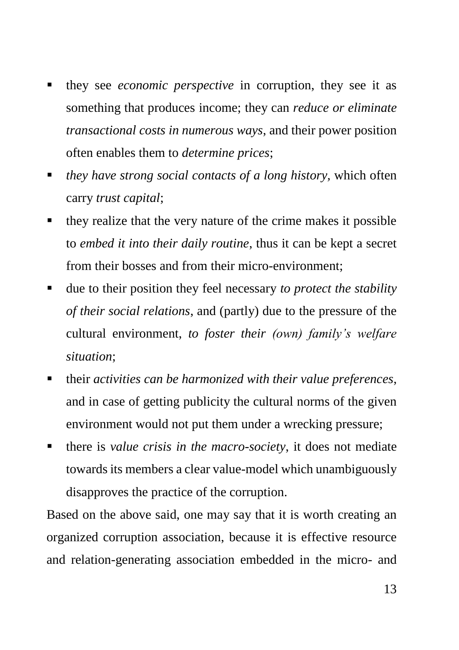- they see *economic perspective* in corruption, they see it as something that produces income; they can *reduce or eliminate transactional costs in numerous ways*, and their power position often enables them to *determine prices*;
- *they have strong social contacts of a long history,* which often carry *trust capital*;
- they realize that the very nature of the crime makes it possible to *embed it into their daily routine*, thus it can be kept a secret from their bosses and from their micro-environment;
- due to their position they feel necessary *to protect the stability of their social relations*, and (partly) due to the pressure of the cultural environment, *to foster their (own) family's welfare situation*;
- their *activities can be harmonized with their value preferences*, and in case of getting publicity the cultural norms of the given environment would not put them under a wrecking pressure;
- there is *value crisis in the macro-society*, it does not mediate towards its members a clear value-model which unambiguously disapproves the practice of the corruption.

Based on the above said, one may say that it is worth creating an organized corruption association, because it is effective resource and relation-generating association embedded in the micro- and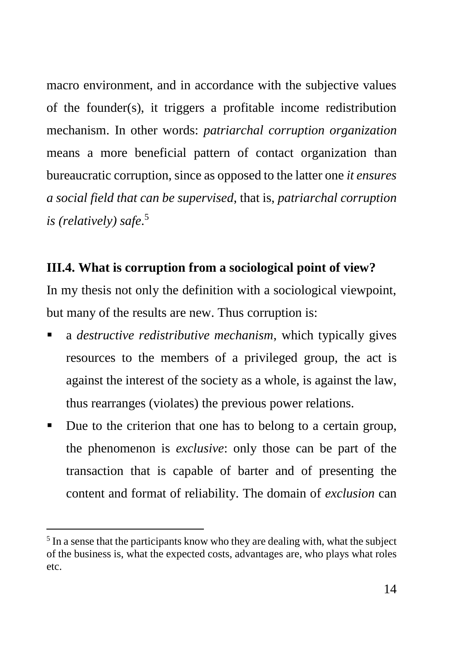macro environment, and in accordance with the subjective values of the founder(s), it triggers a profitable income redistribution mechanism. In other words: *patriarchal corruption organization* means a more beneficial pattern of contact organization than bureaucratic corruption, since as opposed to the latter one *it ensures a social field that can be supervised*, that is, *patriarchal corruption is (relatively) safe*. 5

### <span id="page-13-0"></span>**III.4. What is corruption from a sociological point of view?**

In my thesis not only the definition with a sociological viewpoint, but many of the results are new. Thus corruption is:

- a *destructive redistributive mechanism*, which typically gives resources to the members of a privileged group, the act is against the interest of the society as a whole, is against the law, thus rearranges (violates) the previous power relations.
- Due to the criterion that one has to belong to a certain group, the phenomenon is *exclusive*: only those can be part of the transaction that is capable of barter and of presenting the content and format of reliability. The domain of *exclusion* can

<sup>&</sup>lt;sup>5</sup> In a sense that the participants know who they are dealing with, what the subject of the business is, what the expected costs, advantages are, who plays what roles etc.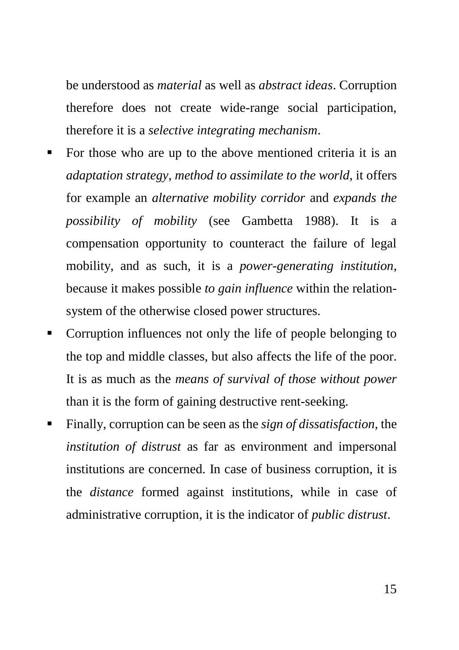be understood as *material* as well as *abstract ideas*. Corruption therefore does not create wide-range social participation, therefore it is a *selective integrating mechanism*.

- For those who are up to the above mentioned criteria it is an *adaptation strategy*, *method to assimilate to the world*, it offers for example an *alternative mobility corridor* and *expands the possibility of mobility* (see Gambetta 1988). It is a compensation opportunity to counteract the failure of legal mobility, and as such, it is a *power-generating institution*, because it makes possible *to gain influence* within the relationsystem of the otherwise closed power structures.
- Corruption influences not only the life of people belonging to the top and middle classes, but also affects the life of the poor. It is as much as the *means of survival of those without power* than it is the form of gaining destructive rent-seeking.
- Finally, corruption can be seen as the *sign of dissatisfaction,* the *institution of distrust* as far as environment and impersonal institutions are concerned. In case of business corruption, it is the *distance* formed against institutions, while in case of administrative corruption, it is the indicator of *public distrust*.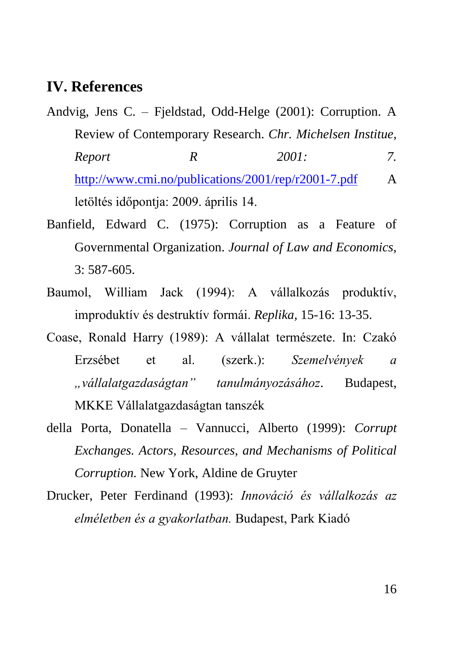### <span id="page-15-0"></span>**IV. References**

- Andvig, Jens C. Fjeldstad, Odd-Helge (2001): Corruption. A Review of Contemporary Research. *Chr. Michelsen Institue, Report R 2001: 7.* <http://www.cmi.no/publications/2001/rep/r2001-7.pdf> A letöltés időpontja: 2009. április 14.
- Banfield, Edward C. (1975): Corruption as a Feature of Governmental Organization. *Journal of Law and Economics,* 3: 587-605.
- Baumol, William Jack (1994): A vállalkozás produktív, improduktív és destruktív formái. *Replika,* 15-16: 13-35.
- Coase, Ronald Harry (1989): A vállalat természete. In: Czakó Erzsébet et al. (szerk.): *Szemelvények a "vállalatgazdaságtan" tanulmányozásához*. Budapest, MKKE Vállalatgazdaságtan tanszék
- della Porta, Donatella Vannucci, Alberto (1999): *Corrupt Exchanges. Actors, Resources, and Mechanisms of Political Corruption.* New York, Aldine de Gruyter
- Drucker, Peter Ferdinand (1993): *Innováció és vállalkozás az elméletben és a gyakorlatban.* Budapest, Park Kiadó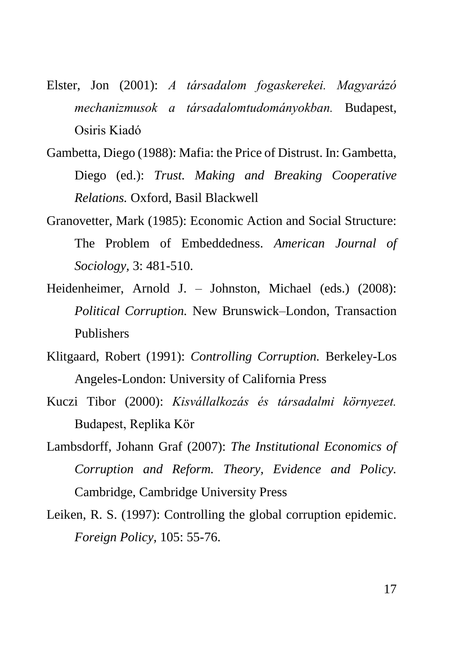- Elster, Jon (2001): *A társadalom fogaskerekei. Magyarázó mechanizmusok a társadalomtudományokban.* Budapest, Osiris Kiadó
- Gambetta, Diego (1988): Mafia: the Price of Distrust. In: Gambetta, Diego (ed.): *Trust. Making and Breaking Cooperative Relations.* Oxford, Basil Blackwell
- Granovetter, Mark (1985): Economic Action and Social Structure: The Problem of Embeddedness. *American Journal of Sociology,* 3: 481-510.
- Heidenheimer, Arnold J. Johnston, Michael (eds.) (2008): *Political Corruption.* New Brunswick–London, Transaction Publishers
- Klitgaard, Robert (1991): *Controlling Corruption.* Berkeley-Los Angeles-London: University of California Press
- Kuczi Tibor (2000): *Kisvállalkozás és társadalmi környezet.* Budapest, Replika Kör
- Lambsdorff, Johann Graf (2007): *The Institutional Economics of Corruption and Reform. Theory, Evidence and Policy.* Cambridge, Cambridge University Press
- Leiken, R. S. (1997): Controlling the global corruption epidemic. *Foreign Policy,* 105: 55-76.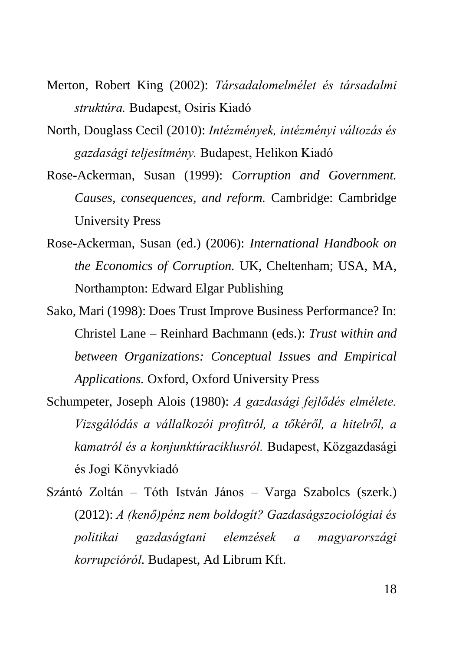- Merton, Robert King (2002): *Társadalomelmélet és társadalmi struktúra.* Budapest, Osiris Kiadó
- North, Douglass Cecil (2010): *Intézmények, intézményi változás és gazdasági teljesítmény.* Budapest, Helikon Kiadó
- Rose-Ackerman, Susan (1999): *Corruption and Government. Causes, consequences, and reform.* Cambridge: Cambridge University Press
- Rose-Ackerman, Susan (ed.) (2006): *International Handbook on the Economics of Corruption.* UK, Cheltenham; USA, MA, Northampton: Edward Elgar Publishing
- Sako, Mari (1998): Does Trust Improve Business Performance? In: Christel Lane – Reinhard Bachmann (eds.): *Trust within and between Organizations: Conceptual Issues and Empirical Applications.* Oxford, Oxford University Press
- Schumpeter, Joseph Alois (1980): *A gazdasági fejlődés elmélete. Vizsgálódás a vállalkozói profitról, a tőkéről, a hitelről, a kamatról és a konjunktúraciklusról.* Budapest, Közgazdasági és Jogi Könyvkiadó
- Szántó Zoltán Tóth István János Varga Szabolcs (szerk.) (2012): *A (kenő)pénz nem boldogít? Gazdaságszociológiai és politikai gazdaságtani elemzések a magyarországi korrupcióról.* Budapest, Ad Librum Kft.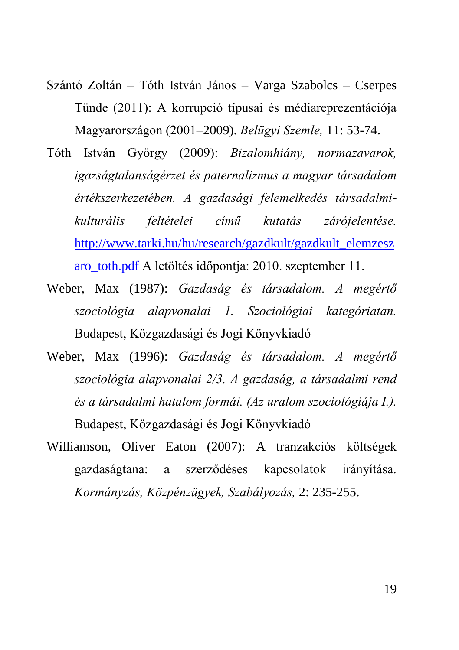- Szántó Zoltán Tóth István János Varga Szabolcs Cserpes Tünde (2011): A korrupció típusai és médiareprezentációja Magyarországon (2001–2009). *Belügyi Szemle,* 11: 53-74.
- Tóth István György (2009): *Bizalomhiány, normazavarok, igazságtalanságérzet és paternalizmus a magyar társadalom értékszerkezetében. A gazdasági felemelkedés társadalmikulturális feltételei című kutatás zárójelentése.* [http://www.tarki.hu/hu/research/gazdkult/gazdkult\\_elemzesz](http://www.tarki.hu/hu/research/gazdkult/gazdkult_elemzeszaro_toth.pdf) [aro\\_toth.pdf](http://www.tarki.hu/hu/research/gazdkult/gazdkult_elemzeszaro_toth.pdf) A letöltés időpontja: 2010. szeptember 11.
- Weber, Max (1987): *Gazdaság és társadalom. A megértő szociológia alapvonalai 1. Szociológiai kategóriatan.* Budapest, Közgazdasági és Jogi Könyvkiadó
- Weber, Max (1996): *Gazdaság és társadalom. A megértő szociológia alapvonalai 2/3. A gazdaság, a társadalmi rend és a társadalmi hatalom formái. (Az uralom szociológiája I.).* Budapest, Közgazdasági és Jogi Könyvkiadó
- Williamson, Oliver Eaton (2007): A tranzakciós költségek gazdaságtana: a szerződéses kapcsolatok irányítása. *Kormányzás, Közpénzügyek, Szabályozás,* 2: 235-255.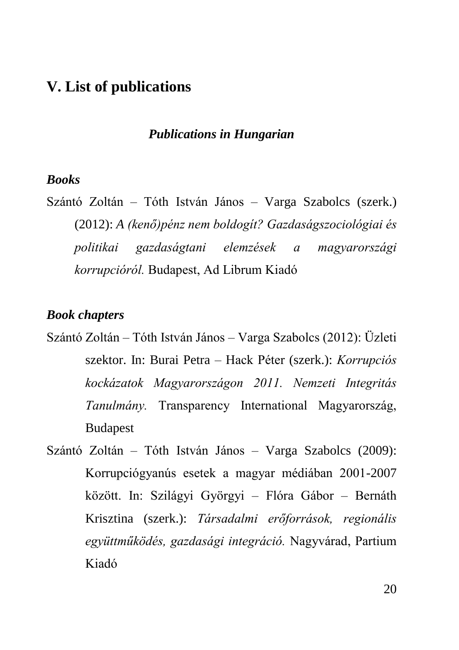### <span id="page-19-0"></span>**V. List of publications**

### *Publications in Hungarian*

### *Books*

Szántó Zoltán – Tóth István János – Varga Szabolcs (szerk.) (2012): *A (kenő)pénz nem boldogít? Gazdaságszociológiai és politikai gazdaságtani elemzések a magyarországi korrupcióról.* Budapest, Ad Librum Kiadó

#### *Book chapters*

- Szántó Zoltán Tóth István János Varga Szabolcs (2012): Üzleti szektor. In: Burai Petra – Hack Péter (szerk.): *Korrupciós kockázatok Magyarországon 2011. Nemzeti Integritás Tanulmány.* Transparency International Magyarország, Budapest
- Szántó Zoltán Tóth István János Varga Szabolcs (2009): Korrupciógyanús esetek a magyar médiában 2001-2007 között. In: Szilágyi Györgyi – Flóra Gábor – Bernáth Krisztina (szerk.): *Társadalmi erőforrások, regionális együttműködés, gazdasági integráció.* Nagyvárad, Partium Kiadó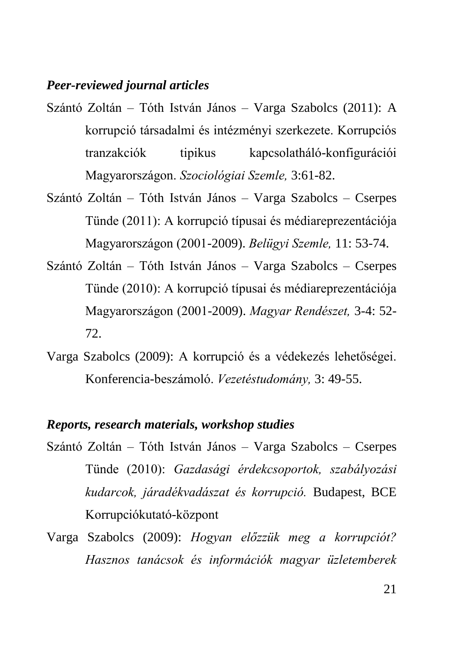### *Peer-reviewed journal articles*

- Szántó Zoltán Tóth István János Varga Szabolcs (2011): A korrupció társadalmi és intézményi szerkezete. Korrupciós tranzakciók tipikus kapcsolatháló-konfigurációi Magyarországon. *Szociológiai Szemle,* 3:61-82.
- Szántó Zoltán Tóth István János Varga Szabolcs Cserpes Tünde (2011): A korrupció típusai és médiareprezentációja Magyarországon (2001-2009). *Belügyi Szemle,* 11: 53-74.
- Szántó Zoltán Tóth István János Varga Szabolcs Cserpes Tünde (2010): A korrupció típusai és médiareprezentációja Magyarországon (2001-2009). *Magyar Rendészet,* 3-4: 52- 72.
- Varga Szabolcs (2009): A korrupció és a védekezés lehetőségei. Konferencia-beszámoló. *Vezetéstudomány,* 3: 49-55.

### *Reports, research materials, workshop studies*

- Szántó Zoltán Tóth István János Varga Szabolcs Cserpes Tünde (2010): *Gazdasági érdekcsoportok, szabályozási kudarcok, járadékvadászat és korrupció.* Budapest, BCE Korrupciókutató-központ
- Varga Szabolcs (2009): *Hogyan előzzük meg a korrupciót? Hasznos tanácsok és információk magyar üzletemberek*